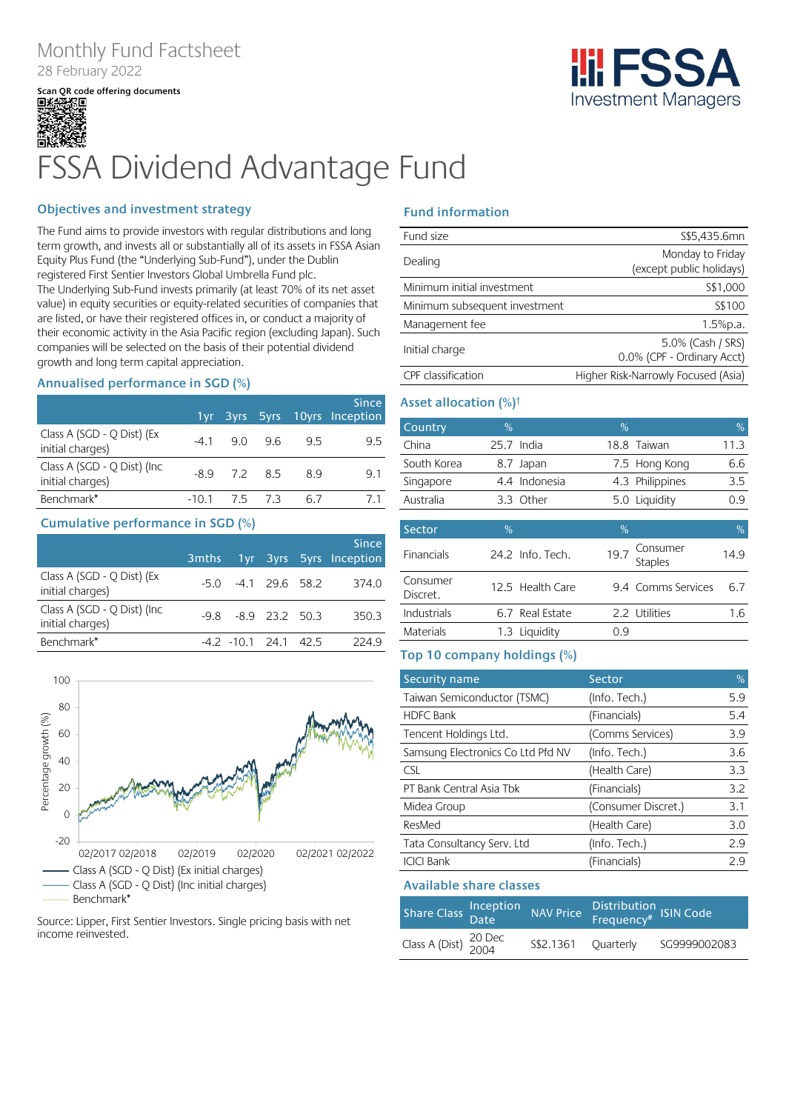# Monthly Fund Factsheet 28 February 2022

**Scan QR code offering documents**



# FSSA Dividend Advantage Fund

### **Objectives and investment strategy**

The Fund aims to provide investors with regular distributions and long term growth, and invests all or substantially all of its assets in FSSA Asian Equity Plus Fund (the "Underlying Sub-Fund"), under the Dublin registered First Sentier Investors Global Umbrella Fund plc. The Underlying Sub-Fund invests primarily (at least 70% of its net asset value) in equity securities or equity-related securities of companies that are listed, or have their registered offices in, or conduct a majority of their economic activity in the Asia Pacific region (excluding Japan). Such companies will be selected on the basis of their potential dividend growth and long term capital appreciation.

### **Annualised performance in SGD (%)**

|                                                  |                |     | <b>Since</b><br>1yr 3yrs 5yrs 10yrs Inception |
|--------------------------------------------------|----------------|-----|-----------------------------------------------|
| Class A (SGD - Q Dist) (Ex<br>initial charges)   | $-4.1$ 9.0 9.6 | 9.5 | 9.5                                           |
| Class A (SGD - Q Dist) (Inc.<br>initial charges) | $-8.9$ 7.2 8.5 | 8.9 | 9.1                                           |
| Benchmark*                                       | -10.1 7.5 7.3  |     |                                               |

### **Cumulative performance in SGD (%)**

|                                                  | 3 <sub>mths</sub> |                         |      | <b>Since</b><br>1yr 3yrs 5yrs Inception |
|--------------------------------------------------|-------------------|-------------------------|------|-----------------------------------------|
| Class A (SGD - Q Dist) (Ex<br>initial charges)   |                   | $-5.0$ $-4.1$ 29.6 58.2 |      | 374.0                                   |
| Class A (SGD - Q Dist) (Inc.<br>initial charges) |                   | $-9.8$ $-8.9$ 23.2 50.3 |      | 350.3                                   |
| Benchmark*                                       |                   | $-4.2$ $-10.1$ 24.1     | 42.5 | 224 9                                   |



#### Source: Lipper, First Sentier Investors. Single pricing basis with net income reinvested.

### **Fund information**

| Fund size                     | S\$5,435.6mn                        |
|-------------------------------|-------------------------------------|
| Dealing                       | Monday to Friday                    |
|                               | (except public holidays)            |
| Minimum initial investment    | S\$1,000                            |
| Minimum subsequent investment | S\$100                              |
| Management fee                | 1.5%p.a.                            |
| Initial charge                | 5.0% (Cash / SRS)                   |
|                               | 0.0% (CPF - Ordinary Acct)          |
| CPF classification            | Higher Risk-Narrowly Focused (Asia) |

### **Asset allocation (%)†**

| Country     | $\%$          | $\%$            | $\%$ |
|-------------|---------------|-----------------|------|
| China       | $25.7$ India  | 18.8 Taiwan     | 11.3 |
| South Korea | 8.7 Japan     | 7.5 Hong Kong   | 6.6  |
| Singapore   | 4.4 Indonesia | 4.3 Philippines | 3.5  |
| Australia   | 3.3 Other     | 5.0 Liquidity   | 0.9  |
|             |               |                 |      |

| Sector               | $\%$ |                  | $\%$ |                     |      |
|----------------------|------|------------------|------|---------------------|------|
| Financials           |      | 24.2 Info. Tech. | 19.7 | Consumer<br>Staples | 14.9 |
| Consumer<br>Discret. |      | 12.5 Health Care |      | 9.4 Comms Services  | 6.7  |
| Industrials          |      | 6.7 Real Estate  |      | 2.2 Utilities       | 1.6  |
| Materials            |      | 1.3 Liquidity    | ი 9  |                     |      |

### **Top 10 company holdings (%)**

| Security name                     | Sector              | %   |
|-----------------------------------|---------------------|-----|
| Taiwan Semiconductor (TSMC)       | (Info. Tech.)       | 5.9 |
| <b>HDFC Bank</b>                  | (Financials)        | 5.4 |
| Tencent Holdings Ltd.             | (Comms Services)    | 3.9 |
| Samsung Electronics Co Ltd Pfd NV | (Info. Tech.)       | 3.6 |
| <b>CSL</b>                        | (Health Care)       | 3.3 |
| PT Bank Central Asia Tbk          | (Financials)        | 3.2 |
| Midea Group                       | (Consumer Discret.) | 3.1 |
| ResMed                            | (Health Care)       | 3.0 |
| Tata Consultancy Serv. Ltd        | (Info. Tech.)       | 2.9 |
| <b>ICICI Bank</b>                 | (Financials)        | 2.9 |

### **Available share classes**

| Share Class Inception                        |                     | NAV Price Distribution ISIN Code |              |
|----------------------------------------------|---------------------|----------------------------------|--------------|
| Class A (Dist) $\frac{20 \text{ Dec}}{2004}$ | S\$2.1361 Ouarterly |                                  | SG9999002083 |

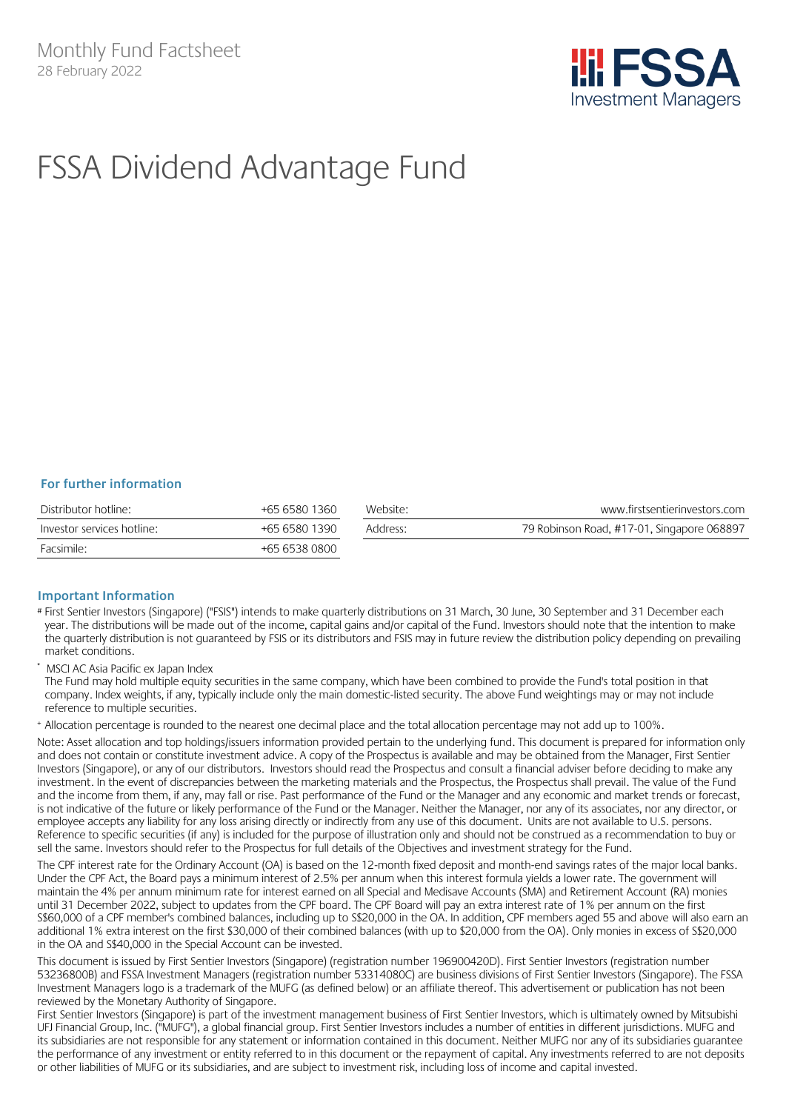

# FSSA Dividend Advantage Fund

### **For further information**

| Distributor hotline:       | +65 6580 1360 | Website: | www.firstsentierinvestors.com              |
|----------------------------|---------------|----------|--------------------------------------------|
| Investor services hotline: | +65 6580 1390 | Address: | 79 Robinson Road, #17-01, Singapore 068897 |
| Facsimile:                 | +65 6538 0800 |          |                                            |

### **Important Information**

- # First Sentier Investors (Singapore) ("FSIS") intends to make quarterly distributions on 31 March, 30 June, 30 September and 31 December each year. The distributions will be made out of the income, capital gains and/or capital of the Fund. Investors should note that the intention to make the quarterly distribution is not guaranteed by FSIS or its distributors and FSIS may in future review the distribution policy depending on prevailing market conditions.
- MSCI AC Asia Pacific ex Japan Index

The Fund may hold multiple equity securities in the same company, which have been combined to provide the Fund's total position in that company. Index weights, if any, typically include only the main domestic-listed security. The above Fund weightings may or may not include reference to multiple securities.

<sup>+</sup> Allocation percentage is rounded to the nearest one decimal place and the total allocation percentage may not add up to 100%.

Note: Asset allocation and top holdings/issuers information provided pertain to the underlying fund. This document is prepared for information only and does not contain or constitute investment advice. A copy of the Prospectus is available and may be obtained from the Manager, First Sentier Investors (Singapore), or any of our distributors. Investors should read the Prospectus and consult a financial adviser before deciding to make any investment. In the event of discrepancies between the marketing materials and the Prospectus, the Prospectus shall prevail. The value of the Fund and the income from them, if any, may fall or rise. Past performance of the Fund or the Manager and any economic and market trends or forecast, is not indicative of the future or likely performance of the Fund or the Manager. Neither the Manager, nor any of its associates, nor any director, or employee accepts any liability for any loss arising directly or indirectly from any use of this document. Units are not available to U.S. persons. Reference to specific securities (if any) is included for the purpose of illustration only and should not be construed as a recommendation to buy or sell the same. Investors should refer to the Prospectus for full details of the Objectives and investment strategy for the Fund.

The CPF interest rate for the Ordinary Account (OA) is based on the 12-month fixed deposit and month-end savings rates of the major local banks. Under the CPF Act, the Board pays a minimum interest of 2.5% per annum when this interest formula yields a lower rate. The government will maintain the 4% per annum minimum rate for interest earned on all Special and Medisave Accounts (SMA) and Retirement Account (RA) monies until 31 December 2022, subject to updates from the CPF board. The CPF Board will pay an extra interest rate of 1% per annum on the first S\$60,000 of a CPF member's combined balances, including up to S\$20,000 in the OA. In addition, CPF members aged 55 and above will also earn an additional 1% extra interest on the first \$30,000 of their combined balances (with up to \$20,000 from the OA). Only monies in excess of S\$20,000 in the OA and S\$40,000 in the Special Account can be invested.

This document is issued by First Sentier Investors (Singapore) (registration number 196900420D). First Sentier Investors (registration number 53236800B) and FSSA Investment Managers (registration number 53314080C) are business divisions of First Sentier Investors (Singapore). The FSSA Investment Managers logo is a trademark of the MUFG (as defined below) or an affiliate thereof. This advertisement or publication has not been reviewed by the Monetary Authority of Singapore.

First Sentier Investors (Singapore) is part of the investment management business of First Sentier Investors, which is ultimately owned by Mitsubishi UFJ Financial Group, Inc. ("MUFG"), a global financial group. First Sentier Investors includes a number of entities in different jurisdictions. MUFG and its subsidiaries are not responsible for any statement or information contained in this document. Neither MUFG nor any of its subsidiaries guarantee the performance of any investment or entity referred to in this document or the repayment of capital. Any investments referred to are not deposits or other liabilities of MUFG or its subsidiaries, and are subject to investment risk, including loss of income and capital invested.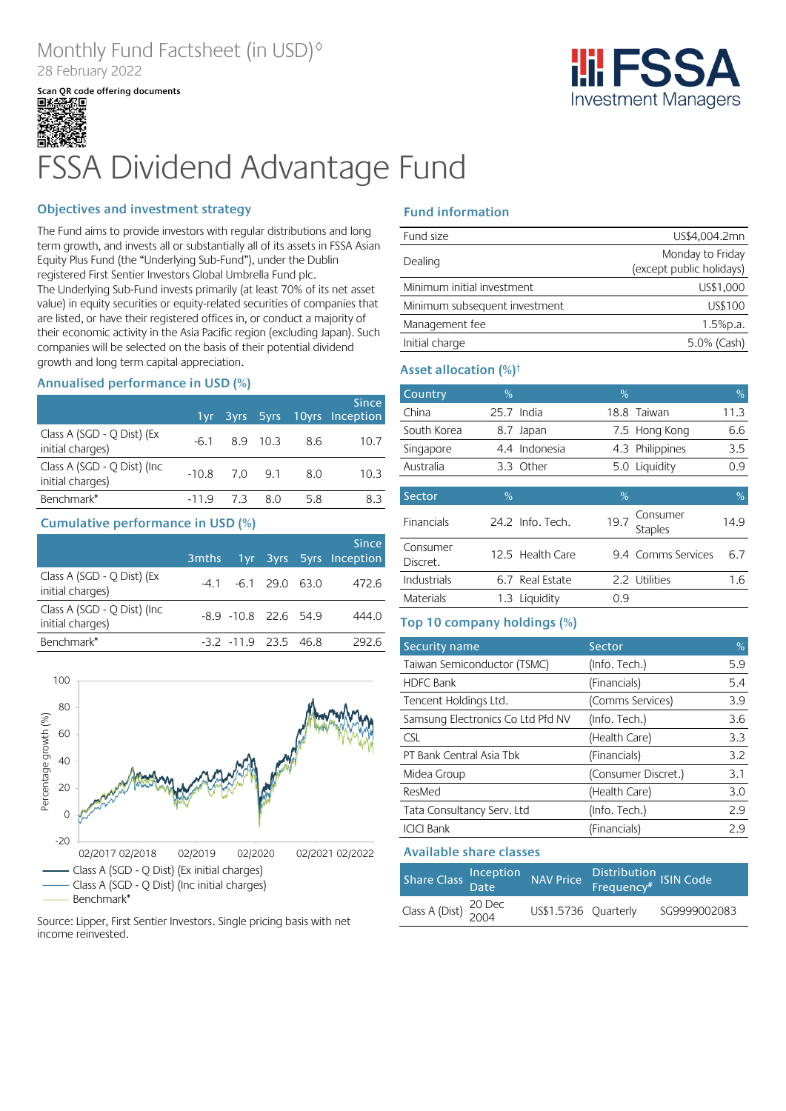# Monthly Fund Factsheet (in USD)◊ 28 February 2022

**Scan QR code offering documents**



# FSSA Dividend Advantage Fund

### **Objectives and investment strategy**

The Fund aims to provide investors with regular distributions and long term growth, and invests all or substantially all of its assets in FSSA Asian Equity Plus Fund (the "Underlying Sub-Fund"), under the Dublin registered First Sentier Investors Global Umbrella Fund plc. The Underlying Sub-Fund invests primarily (at least 70% of its net asset value) in equity securities or equity-related securities of companies that are listed, or have their registered offices in, or conduct a majority of their economic activity in the Asia Pacific region (excluding Japan). Such companies will be selected on the basis of their potential dividend growth and long term capital appreciation.

### **Annualised performance in USD (%)**

|                                                  |                 |                     |     |       | <b>Since</b><br>1yr 3yrs 5yrs 10yrs Inception |
|--------------------------------------------------|-----------------|---------------------|-----|-------|-----------------------------------------------|
| Class A (SGD - Q Dist) (Ex<br>initial charges)   |                 | $-6.1$ $8.9$ $10.3$ |     | - 8.6 | 10.7                                          |
| Class A (SGD - Q Dist) (Inc.<br>initial charges) | $-10.8$ 7.0 9.1 |                     |     | 8.0   | 10.3                                          |
| Benchmark*                                       | $-119$          | -7.3                | 8.0 | 5.8   | 8.3                                           |

### **Cumulative performance in USD (%)**

|                                                 | 3 <sub>m</sub> ths |                         |      | <b>Since</b><br>1yr 3yrs 5yrs Inception |
|-------------------------------------------------|--------------------|-------------------------|------|-----------------------------------------|
| Class A (SGD - Q Dist) (Ex<br>initial charges)  |                    | $-4.1$ $-6.1$ 29.0 63.0 |      | 472.6                                   |
| Class A (SGD - Q Dist) (Inc<br>initial charges) |                    | $-8.9 - 10.8$ 22.6 54.9 |      | 444.0                                   |
| Benchmark <sup>*</sup>                          |                    | $-3.2$ $-11.9$ 23.5     | 46 R | 292 R                                   |



### Source: Lipper, First Sentier Investors. Single pricing basis with net income reinvested.

## **Fund information**

| Fund size                     | US\$4,004.2mn            |
|-------------------------------|--------------------------|
|                               | Monday to Friday         |
| Dealing                       | (except public holidays) |
| Minimum initial investment    | US\$1,000                |
| Minimum subsequent investment | US\$100                  |
| Management fee                | 1.5%p.a.                 |
| Initial charge                | 5.0% (Cash)              |

### **Asset allocation (%)†**

| Country              | % |                  | %    |                            | %    |
|----------------------|---|------------------|------|----------------------------|------|
| China                |   | $25.7$ India     |      | 18.8 Taiwan                | 11.3 |
| South Korea          |   | 8.7 Japan        |      | 7.5 Hong Kong              | 6.6  |
| Singapore            |   | 4.4 Indonesia    |      | 4.3 Philippines            | 3.5  |
| Australia            |   | 3.3 Other        |      | 5.0 Liquidity              | 0.9  |
|                      |   |                  |      |                            |      |
| Sector               | % |                  | %    |                            | %    |
| <b>Financials</b>    |   | 24.2 Info. Tech. | 19.7 | Consumer<br><b>Staples</b> | 14.9 |
| Consumer<br>Discret. |   | 12.5 Health Care |      | 9.4 Comms Services         | 6.7  |
| Industrials          |   | 6.7 Real Estate  |      | 2.2 Utilities              | 1.6  |
| Materials            |   | 1.3 Liquidity    | 0.9  |                            |      |

### **Top 10 company holdings (%)**

| Security name                     | Sector              | %   |
|-----------------------------------|---------------------|-----|
| Taiwan Semiconductor (TSMC)       | (Info. Tech.)       | 5.9 |
| <b>HDFC Bank</b>                  | (Financials)        | 5.4 |
| Tencent Holdings Ltd.             | (Comms Services)    | 3.9 |
| Samsung Electronics Co Ltd Pfd NV | (Info. Tech.)       | 3.6 |
| <b>CSL</b>                        | (Health Care)       | 3.3 |
| PT Bank Central Asia Tbk          | (Financials)        | 3.2 |
| Midea Group                       | (Consumer Discret.) | 3.1 |
| ResMed                            | (Health Care)       | 3.0 |
| Tata Consultancy Serv. Ltd        | (Info. Tech.)       | 2.9 |
| <b>ICICI Bank</b>                 | (Financials)        | 2.9 |

### **Available share classes**

| Share Class Inception                        | NAV Price            | Distribution<br>Frequency# ISIN Code |              |
|----------------------------------------------|----------------------|--------------------------------------|--------------|
| Class A (Dist) $\frac{20 \text{ Dec}}{2004}$ | US\$1.5736 Ouarterly |                                      | SG9999002083 |